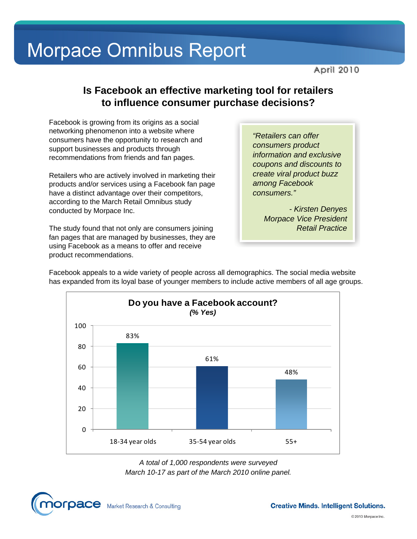**April 2010** 

#### **Is Facebook an effective marketing tool for retailers to influence consumer purchase decisions?**

Facebook is growing from its origins as a social networking phenomenon into a website where consumers have the opportunity to research and support businesses and products through recommendations from friends and fan pages.

Retailers who are actively involved in marketing their products and/or services using a Facebook fan page have a distinct advantage over their competitors, according to the March Retail Omnibus study conducted by Morpace Inc.

The study found that not only are consumers joining fan pages that are managed by businesses, they are using Facebook as a means to offer and receive product recommendations.

*"Retailers can offer consumers product information and exclusive coupons and discounts to create viral product buzz among Facebook consumers."* 

*- Kirsten Denyes Morpace Vice President Retail Practice* 

Facebook appeals to a wide variety of people across all demographics. The social media website has expanded from its loyal base of younger members to include active members of all age groups.



*A total of 1,000 respondents were surveyed March 10-17 as part of the March 2010 online panel.*

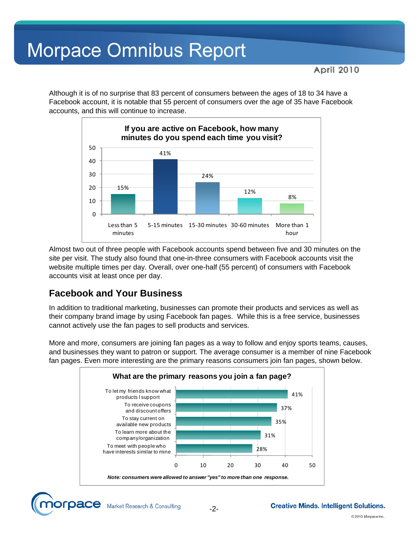Although it is of no surprise that 83 percent of consumers between the ages of 18 to 34 have a Facebook account, it is notable that 55 percent of consumers over the age of 35 have Facebook accounts, and this will continue to increase.



Almost two out of three people with Facebook accounts spend between five and 30 minutes on the site per visit. The study also found that one-in-three consumers with Facebook accounts visit the website multiple times per day. Overall, over one-half (55 percent) of consumers with Facebook accounts visit at least once per day.

#### **Facebook and Your Business**

In addition to traditional marketing, businesses can promote their products and services as well as their company brand image by using Facebook fan pages. While this is a free service, businesses cannot actively use the fan pages to sell products and services.

More and more, consumers are joining fan pages as a way to follow and enjoy sports teams, causes, and businesses they want to patron or support. The average consumer is a member of nine Facebook fan pages. Even more interesting are the primary reasons consumers join fan pages, shown below.



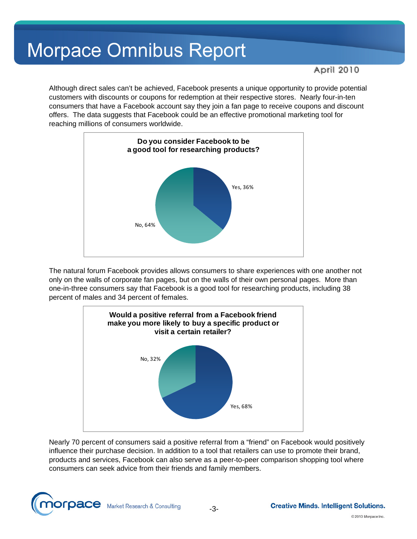April 2010

Although direct sales can't be achieved, Facebook presents a unique opportunity to provide potential customers with discounts or coupons for redemption at their respective stores. Nearly four-in-ten consumers that have a Facebook account say they join a fan page to receive coupons and discount offers. The data suggests that Facebook could be an effective promotional marketing tool for reaching millions of consumers worldwide.



The natural forum Facebook provides allows consumers to share experiences with one another not only on the walls of corporate fan pages, but on the walls of their own personal pages. More than one-in-three consumers say that Facebook is a good tool for researching products, including 38 percent of males and 34 percent of females.



Nearly 70 percent of consumers said a positive referral from a "friend" on Facebook would positively influence their purchase decision. In addition to a tool that retailers can use to promote their brand, products and services, Facebook can also serve as a peer-to-peer comparison shopping tool where consumers can seek advice from their friends and family members.

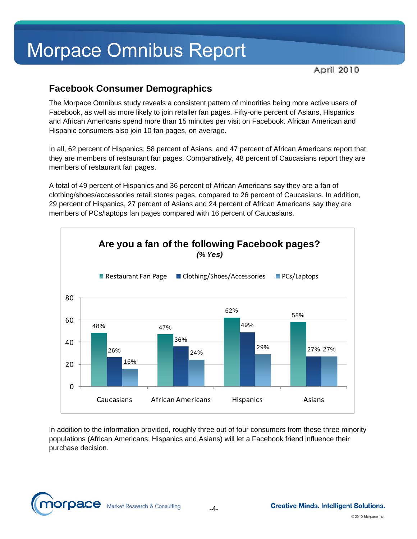April 2010

#### **Facebook Consumer Demographics**

The Morpace Omnibus study reveals a consistent pattern of minorities being more active users of Facebook, as well as more likely to join retailer fan pages. Fifty-one percent of Asians, Hispanics and African Americans spend more than 15 minutes per visit on Facebook. African American and Hispanic consumers also join 10 fan pages, on average.

In all, 62 percent of Hispanics, 58 percent of Asians, and 47 percent of African Americans report that they are members of restaurant fan pages. Comparatively, 48 percent of Caucasians report they are members of restaurant fan pages.

A total of 49 percent of Hispanics and 36 percent of African Americans say they are a fan of clothing/shoes/accessories retail stores pages, compared to 26 percent of Caucasians. In addition, 29 percent of Hispanics, 27 percent of Asians and 24 percent of African Americans say they are members of PCs/laptops fan pages compared with 16 percent of Caucasians.



In addition to the information provided, roughly three out of four consumers from these three minority populations (African Americans, Hispanics and Asians) will let a Facebook friend influence their purchase decision.